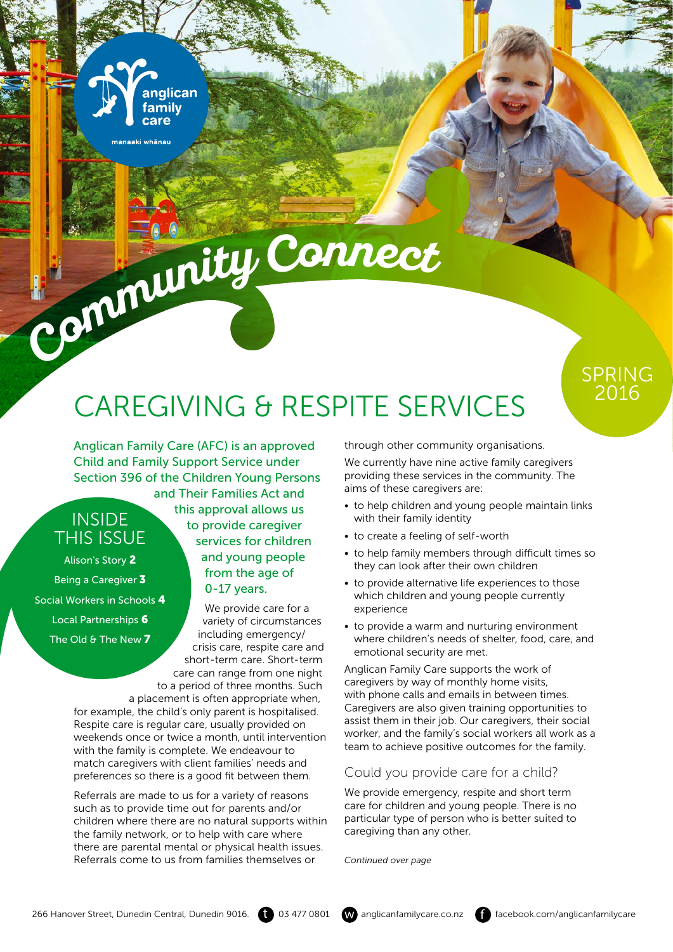## CAREGIVING & RESPITE SERVICES

Anglican Family Care (AFC) is an approved Child and Family Support Service under Section 396 of the Children Young Persons and Their Families Act and

anglican family care

manaaki whānau

### **INSIDE** THIS ISSUE

Alison's Story 2 Being a Caregiver 3 Social Workers in Schools 4 Local Partnerships 6 The Old & The New 7

this approval allows us to provide caregiver services for children and young people from the age of 0-17 years.

**Communit<sup>y</sup> <sup>C</sup><sup>o</sup>nnec<sup>t</sup>**

We provide care for a variety of circumstances including emergency/ crisis care, respite care and short-term care. Short-term care can range from one night to a period of three months. Such

a placement is often appropriate when, for example, the child's only parent is hospitalised. Respite care is regular care, usually provided on weekends once or twice a month, until intervention with the family is complete. We endeavour to match caregivers with client families' needs and preferences so there is a good fit between them.

Referrals are made to us for a variety of reasons such as to provide time out for parents and/or children where there are no natural supports within the family network, or to help with care where there are parental mental or physical health issues. Referrals come to us from families themselves or

through other community organisations.

We currently have nine active family caregivers providing these services in the community. The aims of these caregivers are:

- to help children and young people maintain links with their family identity
- to create a feeling of self-worth
- to help family members through difficult times so they can look after their own children
- to provide alternative life experiences to those which children and young people currently experience
- to provide a warm and nurturing environment where children's needs of shelter, food, care, and emotional security are met.

Anglican Family Care supports the work of caregivers by way of monthly home visits, with phone calls and emails in between times. Caregivers are also given training opportunities to assist them in their job. Our caregivers, their social worker, and the family's social workers all work as a team to achieve positive outcomes for the family.

#### Could you provide care for a child?

We provide emergency, respite and short term care for children and young people. There is no particular type of person who is better suited to caregiving than any other.

*Continued over page*



SPRING 2016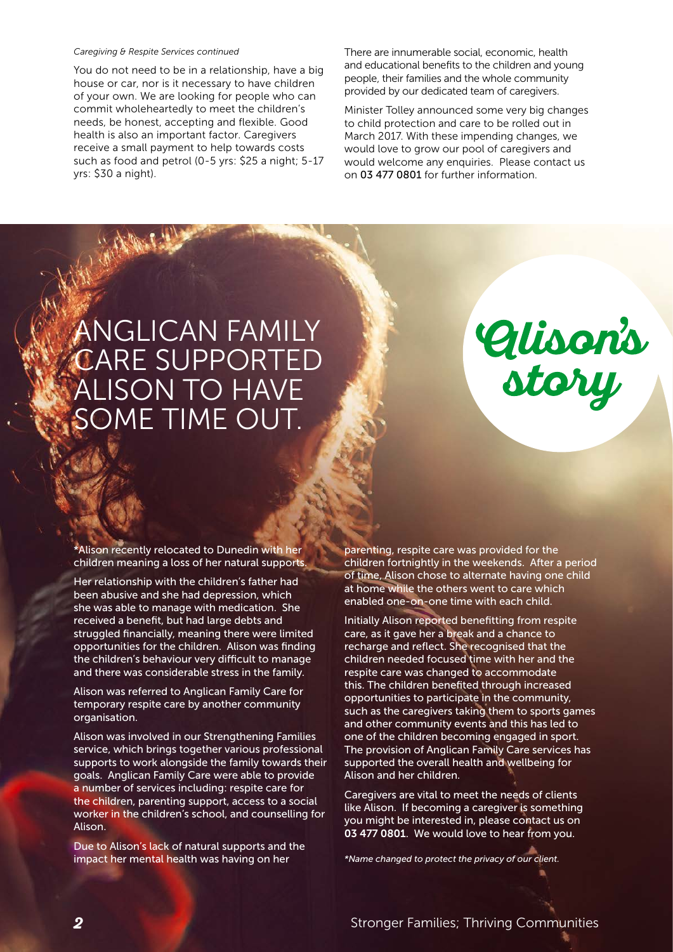#### *Caregiving & Respite Services continued*

You do not need to be in a relationship, have a big house or car, nor is it necessary to have children of your own. We are looking for people who can commit wholeheartedly to meet the children's needs, be honest, accepting and flexible. Good health is also an important factor. Caregivers receive a small payment to help towards costs such as food and petrol (0-5 yrs: \$25 a night; 5-17 yrs: \$30 a night).

There are innumerable social, economic, health and educational benefits to the children and young people, their families and the whole community provided by our dedicated team of caregivers.

Minister Tolley announced some very big changes to child protection and care to be rolled out in March 2017. With these impending changes, we would love to grow our pool of caregivers and would welcome any enquiries. Please contact us on 03 477 0801 for further information.

### ANGLICAN FAMILY CARE SUPPORTED ALISON TO HAVE SOME TIME OUT.



\*Alison recently relocated to Dunedin with her children meaning a loss of her natural supports.

Her relationship with the children's father had been abusive and she had depression, which she was able to manage with medication. She received a benefit, but had large debts and struggled financially, meaning there were limited opportunities for the children. Alison was finding the children's behaviour very difficult to manage and there was considerable stress in the family.

Alison was referred to Anglican Family Care for temporary respite care by another community organisation.

Alison was involved in our Strengthening Families service, which brings together various professional supports to work alongside the family towards their goals. Anglican Family Care were able to provide a number of services including: respite care for the children, parenting support, access to a social worker in the children's school, and counselling for Alison.

Due to Alison's lack of natural supports and the impact her mental health was having on her

parenting, respite care was provided for the children fortnightly in the weekends. After a period of time, Alison chose to alternate having one child at home while the others went to care which enabled one-on-one time with each child.

Initially Alison reported benefitting from respite care, as it gave her a break and a chance to recharge and reflect. She recognised that the children needed focused time with her and the respite care was changed to accommodate this. The children benefited through increased opportunities to participate in the community, such as the caregivers taking them to sports games and other community events and this has led to one of the children becoming engaged in sport. The provision of Anglican Family Care services has supported the overall health and wellbeing for Alison and her children.

Caregivers are vital to meet the needs of clients like Alison. If becoming a caregiver is something you might be interested in, please contact us on 03 477 0801. We would love to hear from you.

*\*Name changed to protect the privacy of our client.*

**2** Stronger Families; Thriving Communities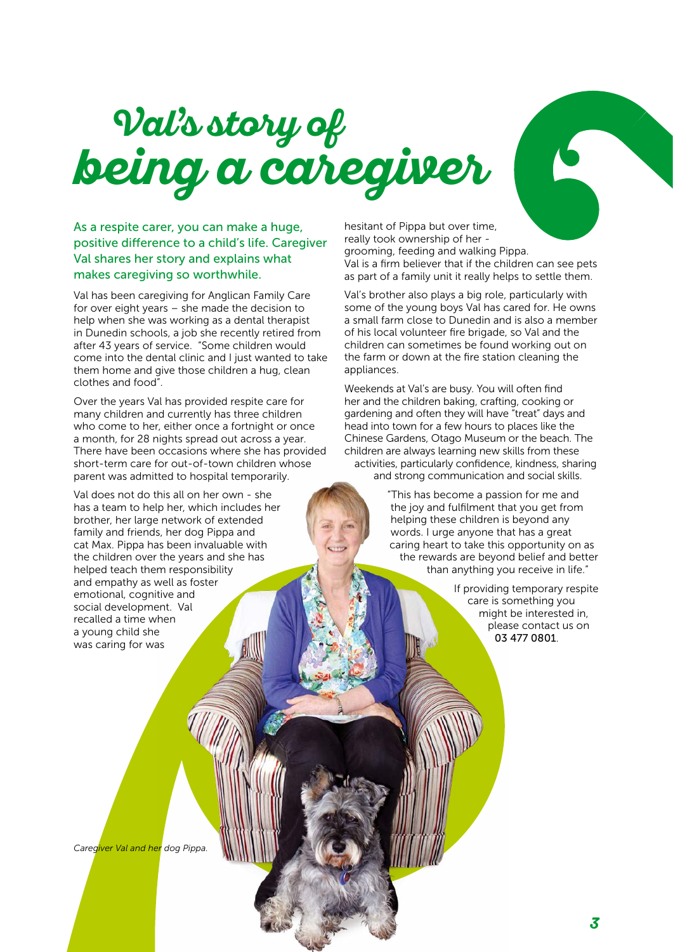## **being a caregiver Val s story of**

As a respite carer, you can make a huge, positive difference to a child's life. Caregiver Val shares her story and explains what makes caregiving so worthwhile.

Val has been caregiving for Anglican Family Care for over eight years – she made the decision to help when she was working as a dental therapist in Dunedin schools, a job she recently retired from after 43 years of service. "Some children would come into the dental clinic and I just wanted to take them home and give those children a hug, clean clothes and food".

Over the years Val has provided respite care for many children and currently has three children who come to her, either once a fortnight or once a month, for 28 nights spread out across a year. There have been occasions where she has provided short-term care for out-of-town children whose parent was admitted to hospital temporarily.

Val does not do this all on her own - she has a team to help her, which includes her brother, her large network of extended family and friends, her dog Pippa and cat Max. Pippa has been invaluable with the children over the years and she has helped teach them responsibility and empathy as well as foster emotional, cognitive and social development. Val recalled a time when a young child she was caring for was

hesitant of Pippa but over time, really took ownership of her grooming, feeding and walking Pippa. Val is a firm believer that if the children can see pets as part of a family unit it really helps to settle them.

Val's brother also plays a big role, particularly with some of the young boys Val has cared for. He owns a small farm close to Dunedin and is also a member of his local volunteer fire brigade, so Val and the children can sometimes be found working out on the farm or down at the fire station cleaning the appliances.

Weekends at Val's are busy. You will often find her and the children baking, crafting, cooking or gardening and often they will have "treat" days and head into town for a few hours to places like the Chinese Gardens, Otago Museum or the beach. The children are always learning new skills from these activities, particularly confidence, kindness, sharing and strong communication and social skills.

> "This has become a passion for me and the joy and fulfilment that you get from helping these children is beyond any words. I urge anyone that has a great caring heart to take this opportunity on as the rewards are beyond belief and better than anything you receive in life."

> > If providing temporary respite care is something you might be interested in, please contact us on 03 477 0801.

*Caregiver Val and her dog Pippa.*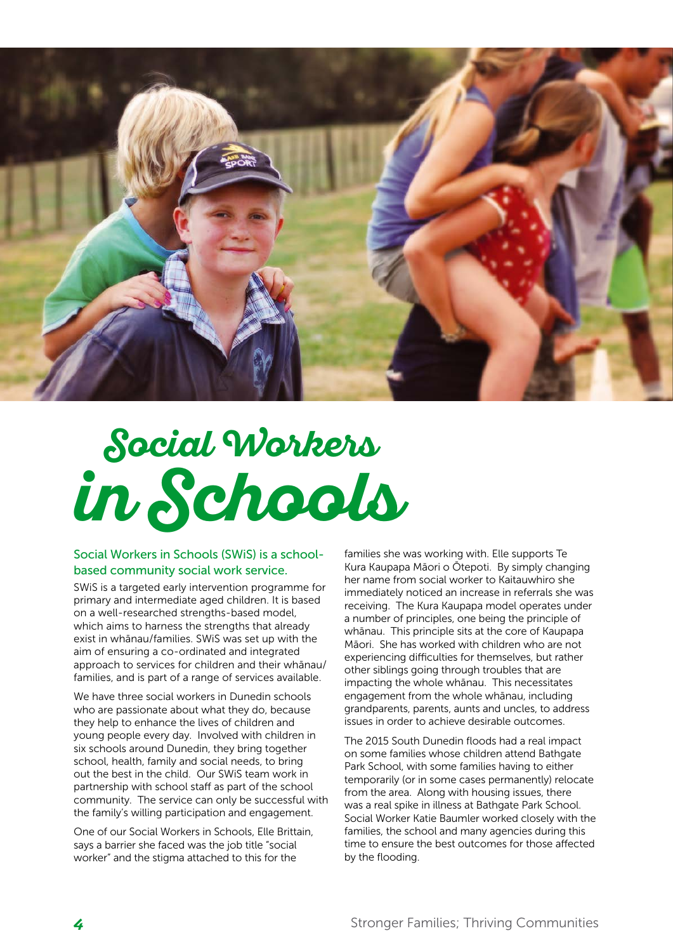

# **in Schools Social Workers**

#### Social Workers in Schools (SWiS) is a schoolbased community social work service.

SWiS is a targeted early intervention programme for primary and intermediate aged children. It is based on a well-researched strengths-based model, which aims to harness the strengths that already exist in whānau/families. SWiS was set up with the aim of ensuring a co-ordinated and integrated approach to services for children and their whānau/ families, and is part of a range of services available.

We have three social workers in Dunedin schools who are passionate about what they do, because they help to enhance the lives of children and young people every day. Involved with children in six schools around Dunedin, they bring together school, health, family and social needs, to bring out the best in the child. Our SWiS team work in partnership with school staff as part of the school community. The service can only be successful with the family's willing participation and engagement.

One of our Social Workers in Schools, Elle Brittain, says a barrier she faced was the job title "social worker" and the stigma attached to this for the

families she was working with. Elle supports Te Kura Kaupapa Māori o Ōtepoti. By simply changing her name from social worker to Kaitauwhiro she immediately noticed an increase in referrals she was receiving. The Kura Kaupapa model operates under a number of principles, one being the principle of whānau. This principle sits at the core of Kaupapa Māori. She has worked with children who are not experiencing difficulties for themselves, but rather other siblings going through troubles that are impacting the whole whānau. This necessitates engagement from the whole whānau, including grandparents, parents, aunts and uncles, to address issues in order to achieve desirable outcomes.

The 2015 South Dunedin floods had a real impact on some families whose children attend Bathgate Park School, with some families having to either temporarily (or in some cases permanently) relocate from the area. Along with housing issues, there was a real spike in illness at Bathgate Park School. Social Worker Katie Baumler worked closely with the families, the school and many agencies during this time to ensure the best outcomes for those affected by the flooding.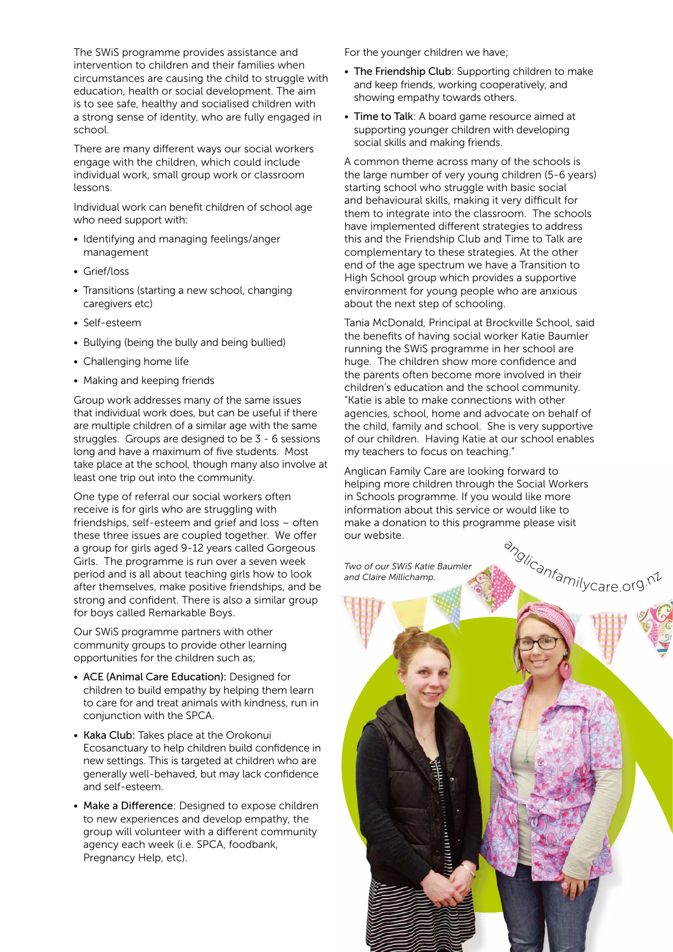The SWiS programme provides assistance and intervention to children and their families when circumstances are causing the child to struggle with education, health or social development. The aim is to see safe, healthy and socialised children with a strong sense of identity, who are fully engaged in school.

There are many different ways our social workers engage with the children, which could include individual work, small group work or classroom lessons.

Individual work can benefit children of school age who need support with:

- Identifying and managing feelings/anger management
- Grief/loss
- Transitions (starting a new school, changing caregivers etc)
- Self-esteem
- Bullying (being the bully and being bullied)
- Challenging home life
- Making and keeping friends

Group work addresses many of the same issues that individual work does, but can be useful if there are multiple children of a similar age with the same struggles. Groups are designed to be 3 - 6 sessions long and have a maximum of five students. Most take place at the school, though many also involve at least one trip out into the community.

One type of referral our social workers often receive is for girls who are struggling with friendships, self-esteem and grief and loss – often these three issues are coupled together. We offer a group for girls aged 9-12 years called Gorgeous Girls. The programme is run over a seven week period and is all about teaching girls how to look after themselves, make positive friendships, and be strong and confident. There is also a similar group for boys called Remarkable Boys.

Our SWiS programme partners with other community groups to provide other learning opportunities for the children such as;

- ACE (Animal Care Education): Designed for children to build empathy by helping them learn to care for and treat animals with kindness, run in conjunction with the SPCA.
- Kaka Club: Takes place at the Orokonui Ecosanctuary to help children build confidence in new settings. This is targeted at children who are generally well-behaved, but may lack confidence and self-esteem.
- Make a Difference: Designed to expose children to new experiences and develop empathy, the group will volunteer with a different community agency each week (i.e. SPCA, foodbank, Pregnancy Help, etc).

For the younger children we have;

- The Friendship Club: Supporting children to make and keep friends, working cooperatively, and showing empathy towards others.
- Time to Talk: A board game resource aimed at supporting younger children with developing social skills and making friends.

A common theme across many of the schools is the large number of very young children (5-6 years) starting school who struggle with basic social and behavioural skills, making it very difficult for them to integrate into the classroom. The schools have implemented different strategies to address this and the Friendship Club and Time to Talk are complementary to these strategies. At the other end of the age spectrum we have a Transition to High School group which provides a supportive environment for young people who are anxious about the next step of schooling.

Tania McDonald, Principal at Brockville School, said the benefits of having social worker Katie Baumler running the SWiS programme in her school are huge. The children show more confidence and the parents often become more involved in their children's education and the school community. "Katie is able to make connections with other agencies, school, home and advocate on behalf of the child, family and school. She is very supportive of our children. Having Katie at our school enables my teachers to focus on teaching."

Anglican Family Care are looking forward to helping more children through the Social Workers in Schools programme. If you would like more information about this service or would like to make a donation to this programme please visit our website.

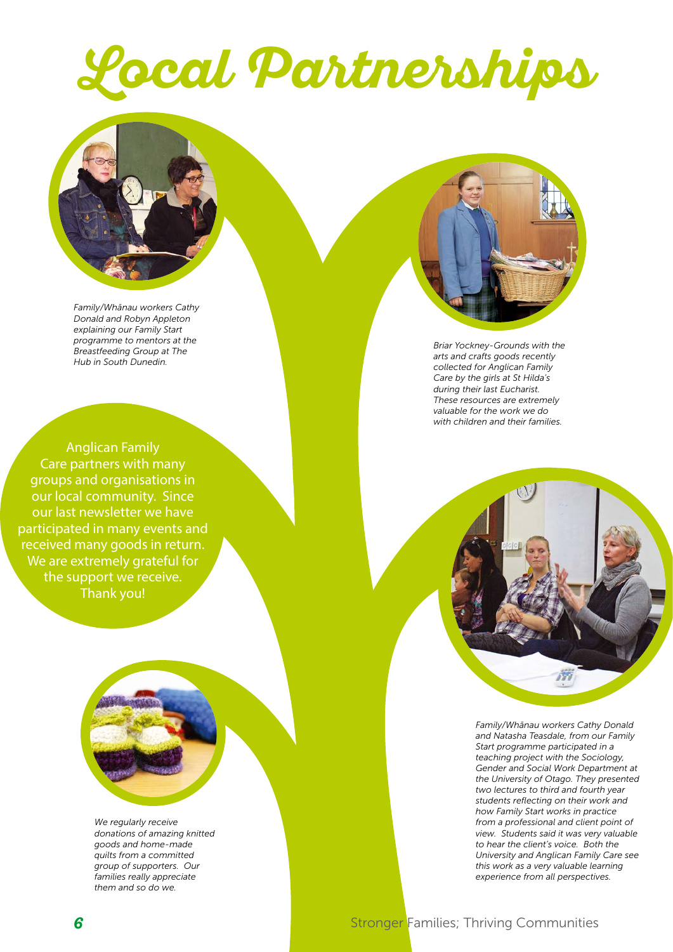# **Local Partnerships**



*Family/Whānau workers Cathy Donald and Robyn Appleton explaining our Family Start programme to mentors at the Breastfeeding Group at The Hub in South Dunedin.*



*Briar Yockney-Grounds with the arts and crafts goods recently collected for Anglican Family Care by the girls at St Hilda's during their last Eucharist. These resources are extremely valuable for the work we do with children and their families.*

Anglican Family Care partners with many groups and organisations in our local community. Since our last newsletter we have participated in many events and received many goods in return. We are extremely grateful for the support we receive. Thank you!



*Family/Whānau workers Cathy Donald and Natasha Teasdale, from our Family Start programme participated in a teaching project with the Sociology, Gender and Social Work Department at the University of Otago. They presented two lectures to third and fourth year students reflecting on their work and how Family Start works in practice from a professional and client point of view. Students said it was very valuable to hear the client's voice. Both the University and Anglican Family Care see this work as a very valuable learning experience from all perspectives.*

*We regularly receive donations of amazing knitted goods and home-made quilts from a committed group of supporters. Our families really appreciate them and so do we.*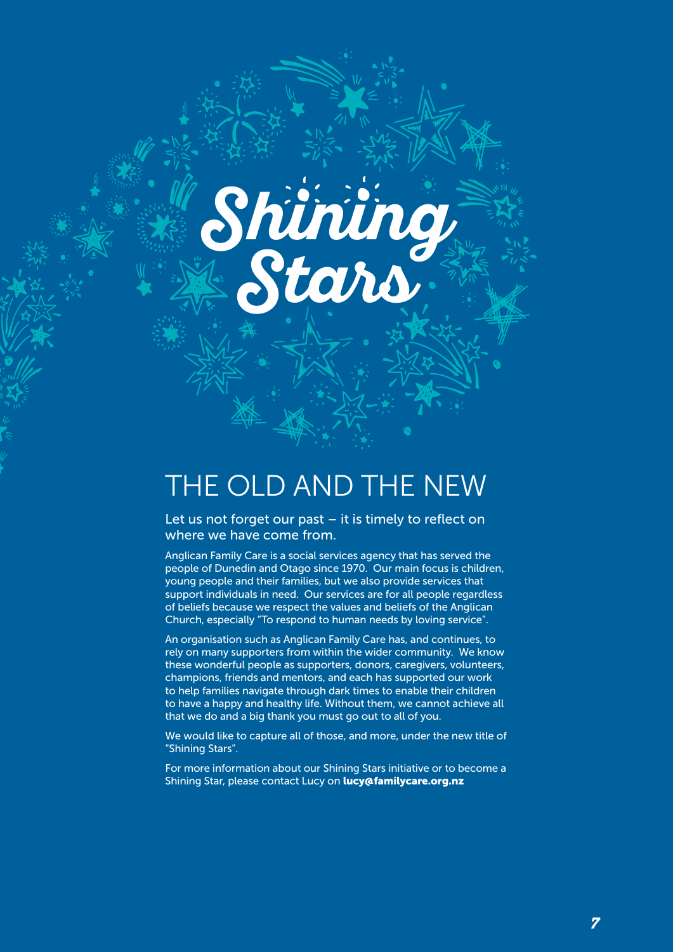## THE OLD AND THE NEW

**Shining**

**Stars**

Let us not forget our past – it is timely to reflect on where we have come from.

Anglican Family Care is a social services agency that has served the people of Dunedin and Otago since 1970. Our main focus is children, young people and their families, but we also provide services that support individuals in need. Our services are for all people regardless of beliefs because we respect the values and beliefs of the Anglican Church, especially "To respond to human needs by loving service".

An organisation such as Anglican Family Care has, and continues, to rely on many supporters from within the wider community. We know these wonderful people as supporters, donors, caregivers, volunteers, champions, friends and mentors, and each has supported our work to help families navigate through dark times to enable their children to have a happy and healthy life. Without them, we cannot achieve all that we do and a big thank you must go out to all of you.

We would like to capture all of those, and more, under the new title of "Shining Stars".

For more information about our Shining Stars initiative or to become a Shining Star, please contact Lucy on lucy@familycare.org.nz